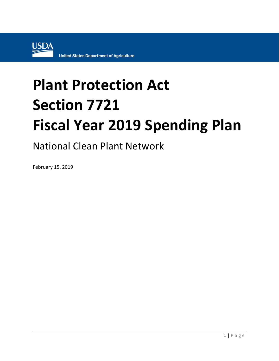

## **Plant Protection Act Section 7721 Fiscal Year 2019 Spending Plan**

National Clean Plant Network

February 15, 2019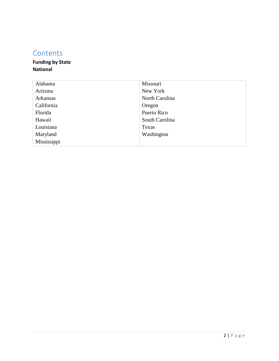## **Contents**

## **Funding by State National**

| Alabama     | Missouri       |
|-------------|----------------|
| Arizona     | New York       |
| Arkansas    | North Carolina |
| California  | Oregon         |
| Florida     | Puerto Rico    |
| Hawaii      | South Carolina |
| Louisiana   | Texas          |
| Maryland    | Washington     |
| Mississippi |                |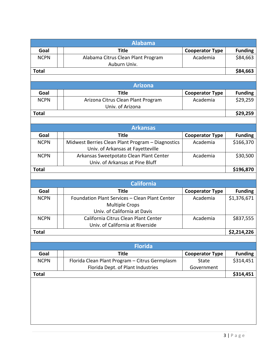|              | <b>Alabama</b>                                    |                        |                |
|--------------|---------------------------------------------------|------------------------|----------------|
| Goal         | <b>Title</b>                                      | <b>Cooperator Type</b> | <b>Funding</b> |
| <b>NCPN</b>  | Alabama Citrus Clean Plant Program                | Academia               | \$84,663       |
|              | Auburn Univ.                                      |                        |                |
| <b>Total</b> |                                                   |                        | \$84,663       |
|              |                                                   |                        |                |
|              | <b>Arizona</b>                                    |                        |                |
| Goal         | <b>Title</b>                                      | <b>Cooperator Type</b> | <b>Funding</b> |
| <b>NCPN</b>  | Arizona Citrus Clean Plant Program                | Academia               | \$29,259       |
|              | Univ. of Arizona                                  |                        |                |
| <b>Total</b> |                                                   |                        | \$29,259       |
|              |                                                   |                        |                |
|              | <b>Arkansas</b>                                   |                        |                |
| Goal         | <b>Title</b>                                      | <b>Cooperator Type</b> | <b>Funding</b> |
| <b>NCPN</b>  | Midwest Berries Clean Plant Program - Diagnostics | Academia               | \$166,370      |
|              | Univ. of Arkansas at Fayetteville                 |                        |                |
| <b>NCPN</b>  | Arkansas Sweetpotato Clean Plant Center           | Academia               | \$30,500       |
|              | Univ. of Arkansas at Pine Bluff                   |                        |                |
| <b>Total</b> |                                                   |                        | \$196,870      |
|              |                                                   |                        |                |
|              | <b>California</b>                                 |                        |                |
| Goal         | <b>Title</b>                                      | <b>Cooperator Type</b> | <b>Funding</b> |
| <b>NCPN</b>  | Foundation Plant Services - Clean Plant Center    | Academia               | \$1,376,671    |
|              | <b>Multiple Crops</b>                             |                        |                |
|              | Univ. of California at Davis                      |                        |                |
| <b>NCPN</b>  | California Citrus Clean Plant Center              | Academia               | \$837,555      |
|              | Univ. of California at Riverside                  |                        |                |
| <b>Total</b> |                                                   |                        | \$2,214,226    |
|              |                                                   |                        |                |
|              | <b>Florida</b>                                    |                        |                |
| Goal         | <b>Title</b>                                      | <b>Cooperator Type</b> | <b>Funding</b> |
| <b>NCPN</b>  | Florida Clean Plant Program - Citrus Germplasm    | <b>State</b>           | \$314,451      |
|              | Florida Dept. of Plant Industries                 | Government             |                |
| <b>Total</b> |                                                   |                        | \$314,451      |
|              |                                                   |                        |                |
|              |                                                   |                        |                |
|              |                                                   |                        |                |
|              |                                                   |                        |                |
|              |                                                   |                        |                |
|              |                                                   |                        |                |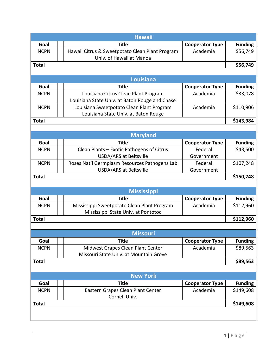| <b>Hawaii</b> |                                                                             |                        |                |
|---------------|-----------------------------------------------------------------------------|------------------------|----------------|
| Goal          | <b>Title</b>                                                                | <b>Cooperator Type</b> | <b>Funding</b> |
| <b>NCPN</b>   | Hawaii Citrus & Sweetpotato Clean Plant Program<br>Univ. of Hawaii at Manoa | Academia               | \$56,749       |
| <b>Total</b>  |                                                                             |                        | \$56,749       |
|               |                                                                             |                        |                |
|               | Louisiana                                                                   |                        |                |
| Goal          | <b>Title</b>                                                                | <b>Cooperator Type</b> | <b>Funding</b> |
| <b>NCPN</b>   | Louisiana Citrus Clean Plant Program                                        | Academia               | \$33,078       |
|               | Louisiana State Univ. at Baton Rouge and Chase                              |                        |                |
| <b>NCPN</b>   | Louisiana Sweetpotato Clean Plant Program                                   | Academia               | \$110,906      |
|               | Louisiana State Univ. at Baton Rouge                                        |                        |                |
| <b>Total</b>  |                                                                             |                        | \$143,984      |
|               |                                                                             |                        |                |
|               | <b>Maryland</b>                                                             |                        |                |
| Goal          | <b>Title</b>                                                                | <b>Cooperator Type</b> | <b>Funding</b> |
| <b>NCPN</b>   | Clean Plants - Exotic Pathogens of Citrus                                   | Federal                | \$43,500       |
|               | <b>USDA/ARS at Beltsville</b>                                               | Government             |                |
| <b>NCPN</b>   | Roses Nat'l Germplasm Resources Pathogens Lab                               | Federal                | \$107,248      |
|               | <b>USDA/ARS at Beltsville</b>                                               | Government             |                |
| <b>Total</b>  |                                                                             |                        | \$150,748      |
|               |                                                                             |                        |                |
|               | <b>Mississippi</b>                                                          |                        |                |
| Goal          | <b>Title</b>                                                                | <b>Cooperator Type</b> | <b>Funding</b> |
| <b>NCPN</b>   | Mississippi Sweetpotato Clean Plant Program                                 | Academia               | \$112,960      |
|               | Mississippi State Univ. at Pontotoc                                         |                        |                |
| <b>Total</b>  |                                                                             |                        | \$112,960      |
|               |                                                                             |                        |                |
|               | <b>Missouri</b>                                                             |                        |                |
| Goal          | <b>Title</b>                                                                | <b>Cooperator Type</b> | <b>Funding</b> |
| <b>NCPN</b>   | Midwest Grapes Clean Plant Center                                           | Academia               | \$89,563       |
|               | Missouri State Univ. at Mountain Grove                                      |                        |                |
| <b>Total</b>  |                                                                             |                        | \$89,563       |
|               |                                                                             |                        |                |
|               | <b>New York</b>                                                             |                        |                |
| Goal          | <b>Title</b>                                                                | <b>Cooperator Type</b> | <b>Funding</b> |
| <b>NCPN</b>   | Eastern Grapes Clean Plant Center                                           | Academia               | \$149,608      |
|               | Cornell Univ.                                                               |                        |                |
| <b>Total</b>  |                                                                             |                        | \$149,608      |
|               |                                                                             |                        |                |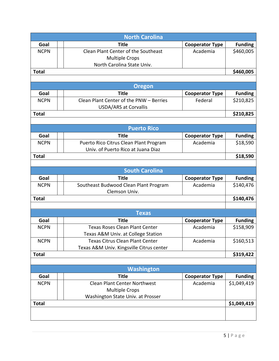|              | <b>North Carolina</b>                    |                        |                |
|--------------|------------------------------------------|------------------------|----------------|
| Goal         | <b>Title</b>                             | <b>Cooperator Type</b> | <b>Funding</b> |
| <b>NCPN</b>  | Clean Plant Center of the Southeast      | Academia               | \$460,005      |
|              | <b>Multiple Crops</b>                    |                        |                |
|              | North Carolina State Univ.               |                        |                |
| <b>Total</b> |                                          |                        | \$460,005      |
|              |                                          |                        |                |
|              | <b>Oregon</b>                            |                        |                |
| Goal         | <b>Title</b>                             | <b>Cooperator Type</b> | <b>Funding</b> |
| <b>NCPN</b>  | Clean Plant Center of the PNW - Berries  | Federal                | \$210,825      |
|              | <b>USDA/ARS at Corvallis</b>             |                        |                |
| <b>Total</b> |                                          |                        | \$210,825      |
|              |                                          |                        |                |
|              | <b>Puerto Rico</b>                       |                        |                |
| Goal         | <b>Title</b>                             | <b>Cooperator Type</b> | <b>Funding</b> |
| <b>NCPN</b>  | Puerto Rico Citrus Clean Plant Program   | Academia               | \$18,590       |
|              | Univ. of Puerto Rico at Juana Diaz       |                        |                |
| <b>Total</b> |                                          |                        | \$18,590       |
|              |                                          |                        |                |
|              | <b>South Carolina</b>                    |                        |                |
| Goal         | <b>Title</b>                             | <b>Cooperator Type</b> | <b>Funding</b> |
| <b>NCPN</b>  | Southeast Budwood Clean Plant Program    | Academia               | \$140,476      |
|              | Clemson Univ.                            |                        |                |
| <b>Total</b> |                                          |                        | \$140,476      |
|              |                                          |                        |                |
|              | <b>Texas</b>                             |                        |                |
| Goal         | <b>Title</b>                             | <b>Cooperator Type</b> | <b>Funding</b> |
| <b>NCPN</b>  | <b>Texas Roses Clean Plant Center</b>    | Academia               | \$158,909      |
|              | Texas A&M Univ. at College Station       |                        |                |
| <b>NCPN</b>  | <b>Texas Citrus Clean Plant Center</b>   | Academia               | \$160,513      |
|              | Texas A&M Univ. Kingsville Citrus center |                        |                |
| <b>Total</b> |                                          |                        | \$319,422      |
|              |                                          |                        |                |
|              | Washington                               |                        |                |
| Goal         | <b>Title</b>                             | <b>Cooperator Type</b> | <b>Funding</b> |
| <b>NCPN</b>  | <b>Clean Plant Center Northwest</b>      | Academia               | \$1,049,419    |
|              | <b>Multiple Crops</b>                    |                        |                |
|              | Washington State Univ. at Prosser        |                        |                |
| <b>Total</b> |                                          |                        | \$1,049,419    |
|              |                                          |                        |                |
|              |                                          |                        |                |